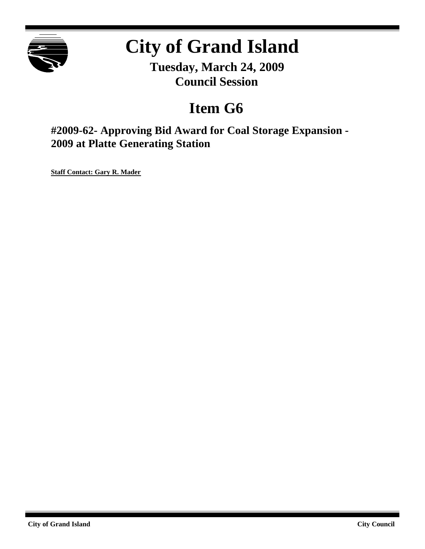

# **City of Grand Island**

**Tuesday, March 24, 2009 Council Session**

# **Item G6**

**#2009-62- Approving Bid Award for Coal Storage Expansion - 2009 at Platte Generating Station**

**Staff Contact: Gary R. Mader**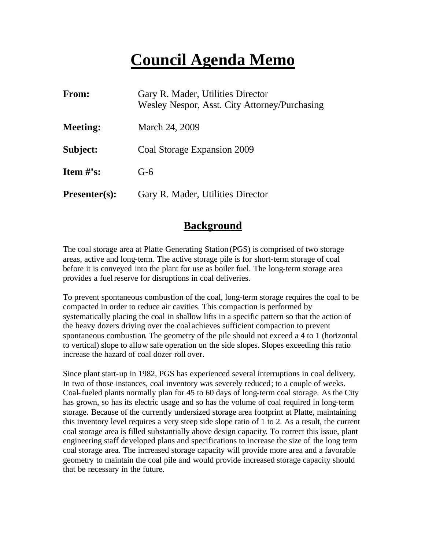# **Council Agenda Memo**

| <b>From:</b>         | Gary R. Mader, Utilities Director<br>Wesley Nespor, Asst. City Attorney/Purchasing |
|----------------------|------------------------------------------------------------------------------------|
| <b>Meeting:</b>      | March 24, 2009                                                                     |
| Subject:             | Coal Storage Expansion 2009                                                        |
| <b>Item</b> $\#$ 's: | $G-6$                                                                              |
| <b>Presenter(s):</b> | Gary R. Mader, Utilities Director                                                  |

### **Background**

The coal storage area at Platte Generating Station (PGS) is comprised of two storage areas, active and long-term. The active storage pile is for short-term storage of coal before it is conveyed into the plant for use as boiler fuel. The long-term storage area provides a fuel reserve for disruptions in coal deliveries.

To prevent spontaneous combustion of the coal, long-term storage requires the coal to be compacted in order to reduce air cavities. This compaction is performed by systematically placing the coal in shallow lifts in a specific pattern so that the action of the heavy dozers driving over the coal achieves sufficient compaction to prevent spontaneous combustion. The geometry of the pile should not exceed a 4 to 1 (horizontal to vertical) slope to allow safe operation on the side slopes. Slopes exceeding this ratio increase the hazard of coal dozer roll over.

Since plant start-up in 1982, PGS has experienced several interruptions in coal delivery. In two of those instances, coal inventory was severely reduced; to a couple of weeks. Coal-fueled plants normally plan for 45 to 60 days of long-term coal storage. As the City has grown, so has its electric usage and so has the volume of coal required in long-term storage. Because of the currently undersized storage area footprint at Platte, maintaining this inventory level requires a very steep side slope ratio of 1 to 2. As a result, the current coal storage area is filled substantially above design capacity. To correct this issue, plant engineering staff developed plans and specifications to increase the size of the long term coal storage area. The increased storage capacity will provide more area and a favorable geometry to maintain the coal pile and would provide increased storage capacity should that be necessary in the future.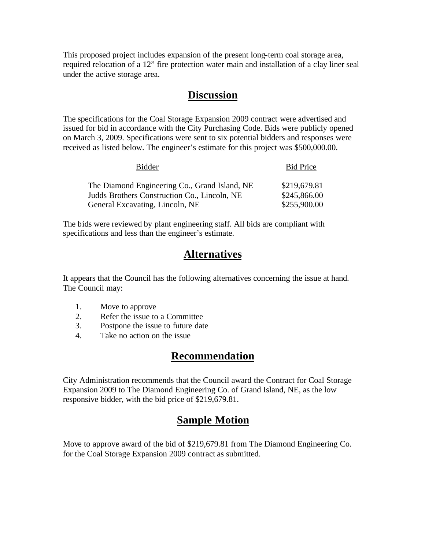This proposed project includes expansion of the present long-term coal storage area, required relocation of a 12" fire protection water main and installation of a clay liner seal under the active storage area.

### **Discussion**

The specifications for the Coal Storage Expansion 2009 contract were advertised and issued for bid in accordance with the City Purchasing Code. Bids were publicly opened on March 3, 2009. Specifications were sent to six potential bidders and responses were received as listed below. The engineer's estimate for this project was \$500,000.00.

| Bidder                                        | <b>Bid Price</b> |  |
|-----------------------------------------------|------------------|--|
| The Diamond Engineering Co., Grand Island, NE | \$219,679.81     |  |
| Judds Brothers Construction Co., Lincoln, NE  | \$245,866.00     |  |
| General Excavating, Lincoln, NE               | \$255,900.00     |  |

The bids were reviewed by plant engineering staff. All bids are compliant with specifications and less than the engineer's estimate.

# **Alternatives**

It appears that the Council has the following alternatives concerning the issue at hand. The Council may:

- 1. Move to approve
- 2. Refer the issue to a Committee
- 3. Postpone the issue to future date
- 4. Take no action on the issue

### **Recommendation**

City Administration recommends that the Council award the Contract for Coal Storage Expansion 2009 to The Diamond Engineering Co. of Grand Island, NE, as the low responsive bidder, with the bid price of \$219,679.81.

# **Sample Motion**

Move to approve award of the bid of \$219,679.81 from The Diamond Engineering Co. for the Coal Storage Expansion 2009 contract as submitted.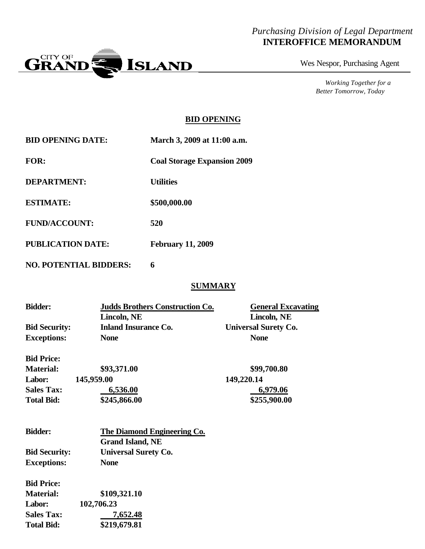#### *Purchasing Division of Legal Department* **INTEROFFICE MEMORANDUM**



Wes Nespor, Purchasing Agent

*Working Together for a Better Tomorrow, Today*

#### **BID OPENING**

| <b>BID OPENING DATE:</b> | March 3, 2009 at 11:00 a.m.        |
|--------------------------|------------------------------------|
| <b>FOR:</b>              | <b>Coal Storage Expansion 2009</b> |
| <b>DEPARTMENT:</b>       | <b>Utilities</b>                   |
| <b>ESTIMATE:</b>         | \$500,000.00                       |
| <b>FUND/ACCOUNT:</b>     | 520                                |
| <b>PUBLICATION DATE:</b> | <b>February 11, 2009</b>           |

**NO. POTENTIAL BIDDERS: 6**

#### **SUMMARY**

| <b>Bidder:</b>       | <b>Judds Brothers Construction Co.</b><br>Lincoln, NE | <b>General Excavating</b><br>Lincoln, NE |
|----------------------|-------------------------------------------------------|------------------------------------------|
| <b>Bid Security:</b> | <b>Inland Insurance Co.</b>                           | <b>Universal Surety Co.</b>              |
| <b>Exceptions:</b>   | <b>None</b>                                           | <b>None</b>                              |
| <b>Bid Price:</b>    |                                                       |                                          |
| Material:            | \$93,371.00                                           | \$99,700.80                              |
| Labor:               | 145,959.00                                            | 149,220.14                               |
| <b>Sales Tax:</b>    | 6,536.00                                              | 6,979.06                                 |
| <b>Total Bid:</b>    | \$245,866.00                                          | \$255,900.00                             |
|                      |                                                       |                                          |
|                      |                                                       |                                          |

| <b>Bidder:</b>       | The Diamond Engineering Co. |  |  |
|----------------------|-----------------------------|--|--|
|                      | <b>Grand Island, NE</b>     |  |  |
| <b>Bid Security:</b> | <b>Universal Surety Co.</b> |  |  |
| <b>Exceptions:</b>   | <b>None</b>                 |  |  |
| <b>Bid Price:</b>    |                             |  |  |
| Material:            | \$109,321.10                |  |  |
| Labor:               | 102,706.23                  |  |  |
| <b>Sales Tax:</b>    | 7,652.48                    |  |  |

**Total Bid: \$219,679.81**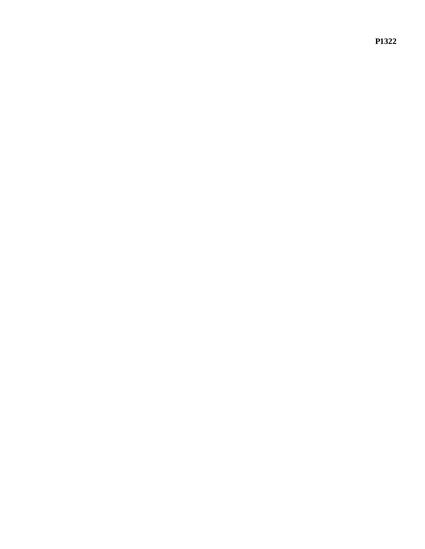**P1322**